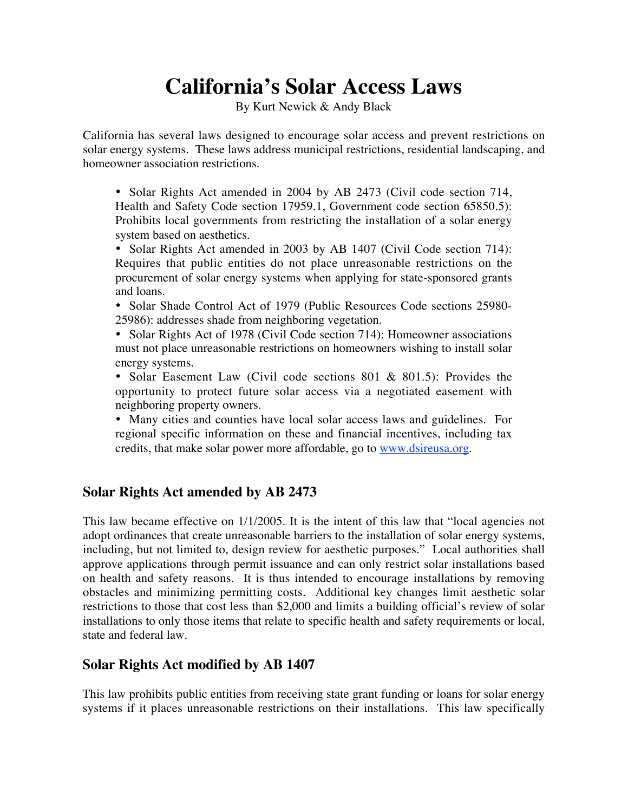# **California's Solar Access Laws**

By Kurt Newick & Andy Black

California has several laws designed to encourage solar access and prevent restrictions on solar energy systems. These laws address municipal restrictions, residential landscaping, and homeowner association restrictions.

• Solar Rights Act amended in 2004 by AB 2473 (Civil code section 714, Health and Safety Code section 17959.1, Government code section 65850.5): Prohibits local governments from restricting the installation of a solar energy system based on aesthetics.

• Solar Rights Act amended in 2003 by AB 1407 (Civil Code section 714): Requires that public entities do not place unreasonable restrictions on the procurement of solar energy systems when applying for state-sponsored grants and loans.

• Solar Shade Control Act of 1979 (Public Resources Code sections 25980-25986): addresses shade from neighboring vegetation.

• Solar Rights Act of 1978 (Civil Code section 714): Homeowner associations must not place unreasonable restrictions on homeowners wishing to install solar energy systems.

• Solar Easement Law (Civil code sections 801 & 801.5): Provides the opportunity to protect future solar access via a negotiated easement with neighboring property owners.

• Many cities and counties have local solar access laws and guidelines. For regional specific information on these and financial incentives, including tax credits, that make solar power more affordable, go to www.dsireusa.org.

## **Solar Rights Act amended by AB 2473**

This law became effective on 1/1/2005. It is the intent of this law that "local agencies not adopt ordinances that create unreasonable barriers to the installation of solar energy systems, including, but not limited to, design review for aesthetic purposes." Local authorities shall approve applications through permit issuance and can only restrict solar installations based on health and safety reasons. It is thus intended to encourage installations by removing obstacles and minimizing permitting costs. Additional key changes limit aesthetic solar restrictions to those that cost less than \$2,000 and limits a building official's review of solar installations to only those items that relate to specific health and safety requirements or local, state and federal law.

## **Solar Rights Act modified by AB 1407**

This law prohibits public entities from receiving state grant funding or loans for solar energy systems if it places unreasonable restrictions on their installations. This law specifically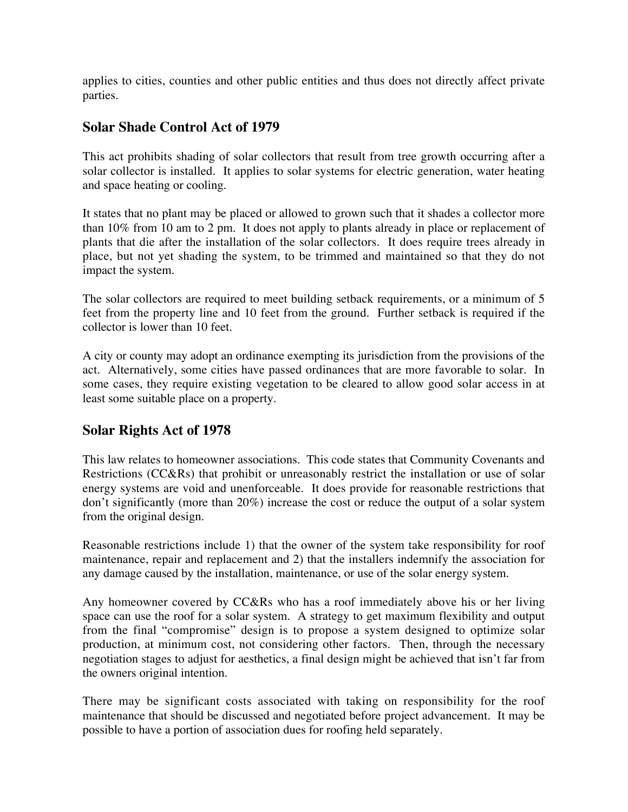applies to cities, counties and other public entities and thus does not directly affect private parties.

#### **Solar Shade Control Act of 1979**

This act prohibits shading of solar collectors that result from tree growth occurring after a solar collector is installed. It applies to solar systems for electric generation, water heating and space heating or cooling.

It states that no plant may be placed or allowed to grown such that it shades a collector more than 10% from 10 am to 2 pm. It does not apply to plants already in place or replacement of plants that die after the installation of the solar collectors. It does require trees already in place, but not yet shading the system, to be trimmed and maintained so that they do not impact the system.

The solar collectors are required to meet building setback requirements, or a minimum of 5 feet from the property line and 10 feet from the ground. Further setback is required if the collector is lower than 10 feet.

A city or county may adopt an ordinance exempting its jurisdiction from the provisions of the act. Alternatively, some cities have passed ordinances that are more favorable to solar. In some cases, they require existing vegetation to be cleared to allow good solar access in at least some suitable place on a property.

## **Solar Rights Act of 1978**

This law relates to homeowner associations. This code states that Community Covenants and Restrictions (CC&Rs) that prohibit or unreasonably restrict the installation or use of solar energy systems are void and unenforceable. It does provide for reasonable restrictions that don't significantly (more than 20%) increase the cost or reduce the output of a solar system from the original design.

Reasonable restrictions include 1) that the owner of the system take responsibility for roof maintenance, repair and replacement and 2) that the installers indemnify the association for any damage caused by the installation, maintenance, or use of the solar energy system.

Any homeowner covered by CC&Rs who has a roof immediately above his or her living space can use the roof for a solar system. A strategy to get maximum flexibility and output from the final "compromise" design is to propose a system designed to optimize solar production, at minimum cost, not considering other factors. Then, through the necessary negotiation stages to adjust for aesthetics, a final design might be achieved that isn't far from the owners original intention.

There may be significant costs associated with taking on responsibility for the roof maintenance that should be discussed and negotiated before project advancement. It may be possible to have a portion of association dues for roofing held separately.